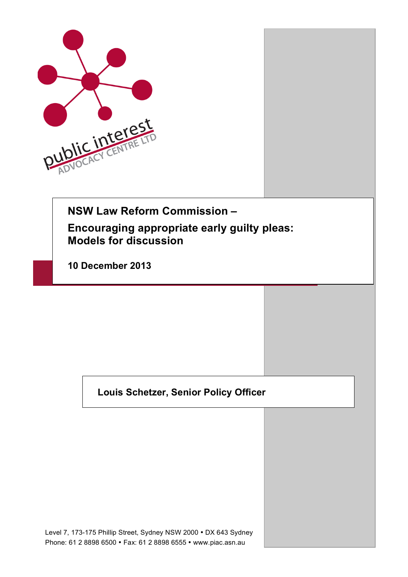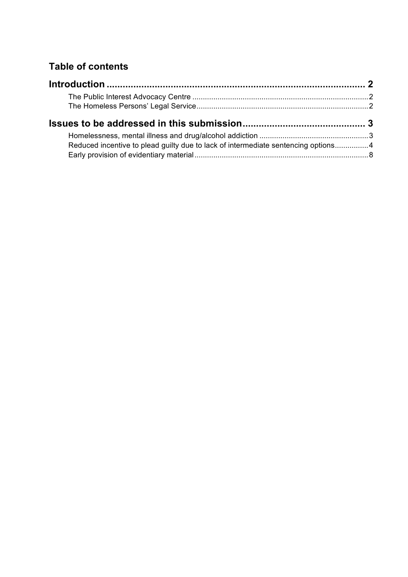# **Table of contents**

|  |  | Reduced incentive to plead guilty due to lack of intermediate sentencing options4 |  |
|--|--|-----------------------------------------------------------------------------------|--|
|  |  |                                                                                   |  |
|  |  |                                                                                   |  |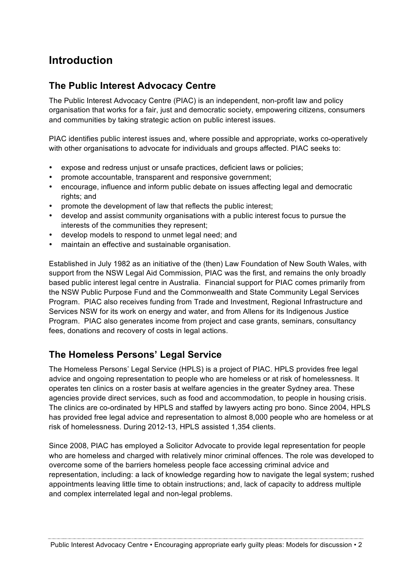# **Introduction**

# **The Public Interest Advocacy Centre**

The Public Interest Advocacy Centre (PIAC) is an independent, non-profit law and policy organisation that works for a fair, just and democratic society, empowering citizens, consumers and communities by taking strategic action on public interest issues.

PIAC identifies public interest issues and, where possible and appropriate, works co-operatively with other organisations to advocate for individuals and groups affected. PIAC seeks to:

- expose and redress unjust or unsafe practices, deficient laws or policies;
- promote accountable, transparent and responsive government;
- encourage, influence and inform public debate on issues affecting legal and democratic rights; and
- promote the development of law that reflects the public interest;
- develop and assist community organisations with a public interest focus to pursue the interests of the communities they represent;
- develop models to respond to unmet legal need; and
- maintain an effective and sustainable organisation.

Established in July 1982 as an initiative of the (then) Law Foundation of New South Wales, with support from the NSW Legal Aid Commission, PIAC was the first, and remains the only broadly based public interest legal centre in Australia. Financial support for PIAC comes primarily from the NSW Public Purpose Fund and the Commonwealth and State Community Legal Services Program. PIAC also receives funding from Trade and Investment, Regional Infrastructure and Services NSW for its work on energy and water, and from Allens for its Indigenous Justice Program. PIAC also generates income from project and case grants, seminars, consultancy fees, donations and recovery of costs in legal actions.

# **The Homeless Persons' Legal Service**

The Homeless Persons' Legal Service (HPLS) is a project of PIAC. HPLS provides free legal advice and ongoing representation to people who are homeless or at risk of homelessness. It operates ten clinics on a roster basis at welfare agencies in the greater Sydney area. These agencies provide direct services, such as food and accommodation, to people in housing crisis. The clinics are co-ordinated by HPLS and staffed by lawyers acting pro bono. Since 2004, HPLS has provided free legal advice and representation to almost 8,000 people who are homeless or at risk of homelessness. During 2012-13, HPLS assisted 1,354 clients.

Since 2008, PIAC has employed a Solicitor Advocate to provide legal representation for people who are homeless and charged with relatively minor criminal offences. The role was developed to overcome some of the barriers homeless people face accessing criminal advice and representation, including: a lack of knowledge regarding how to navigate the legal system; rushed appointments leaving little time to obtain instructions; and, lack of capacity to address multiple and complex interrelated legal and non-legal problems.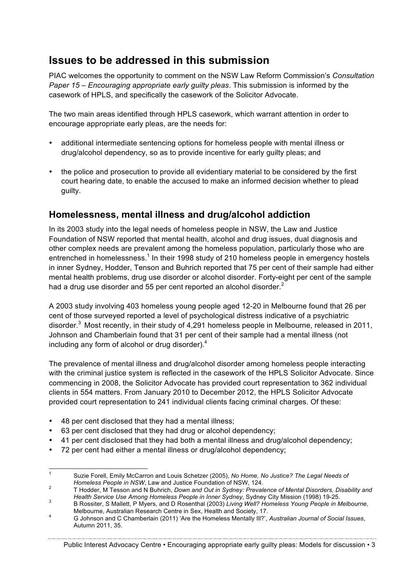# **Issues to be addressed in this submission**

PIAC welcomes the opportunity to comment on the NSW Law Reform Commission's *Consultation Paper 15 – Encouraging appropriate early guilty pleas*. This submission is informed by the casework of HPLS, and specifically the casework of the Solicitor Advocate.

The two main areas identified through HPLS casework, which warrant attention in order to encourage appropriate early pleas, are the needs for:

- additional intermediate sentencing options for homeless people with mental illness or drug/alcohol dependency, so as to provide incentive for early guilty pleas; and
- the police and prosecution to provide all evidentiary material to be considered by the first court hearing date, to enable the accused to make an informed decision whether to plead guilty.

# **Homelessness, mental illness and drug/alcohol addiction**

In its 2003 study into the legal needs of homeless people in NSW, the Law and Justice Foundation of NSW reported that mental health, alcohol and drug issues, dual diagnosis and other complex needs are prevalent among the homeless population, particularly those who are entrenched in homelessness.<sup>1</sup> In their 1998 study of 210 homeless people in emergency hostels in inner Sydney, Hodder, Tenson and Buhrich reported that 75 per cent of their sample had either mental health problems, drug use disorder or alcohol disorder. Forty-eight per cent of the sample had a drug use disorder and 55 per cent reported an alcohol disorder. $<sup>2</sup>$ </sup>

A 2003 study involving 403 homeless young people aged 12-20 in Melbourne found that 26 per cent of those surveyed reported a level of psychological distress indicative of a psychiatric disorder.<sup>3</sup> Most recently, in their study of 4,291 homeless people in Melbourne, released in 2011, Johnson and Chamberlain found that 31 per cent of their sample had a mental illness (not including any form of alcohol or drug disorder). $4$ 

The prevalence of mental illness and drug/alcohol disorder among homeless people interacting with the criminal justice system is reflected in the casework of the HPLS Solicitor Advocate. Since commencing in 2008, the Solicitor Advocate has provided court representation to 362 individual clients in 554 matters. From January 2010 to December 2012, the HPLS Solicitor Advocate provided court representation to 241 individual clients facing criminal charges. Of these:

- 48 per cent disclosed that they had a mental illness;
- 63 per cent disclosed that they had drug or alcohol dependency;
- 41 per cent disclosed that they had both a mental illness and drug/alcohol dependency;
- 72 per cent had either a mental illness or drug/alcohol dependency;

Public Interest Advocacy Centre • Encouraging appropriate early guilty pleas: Models for discussion • 3

 <sup>1</sup> Suzie Forell, Emily McCarron and Louis Schetzer (2005), *No Home, No Justice? The Legal Needs of* 

*Homeless People in NSW, Law and Sucise Poundation of NSW, 124.*<br>T Hodder, M Tesson and N Buhrich, *Down and Out in Sydney: Prevalence of Mental Disorders, Disability and Health Service Use Among Homeless People in Inner* 

*Health Service Use Among Homeless People in Inner Sydney*, Sydney City Mission (1998) 19-25. <sup>3</sup> B Rossiter, S Mallett, P Myers, and D Rosenthal (2003) *Living Well? Homeless Young People in Melbourne*,

Melbourne, Australian Research Centre in Sex, Health and Society, 17.<br>4 G Johnson and C Chamberlain (2011) 'Are the Homeless Mentally Ill?', *Australian Journal of Social Issues*, Autumn 2011, 35.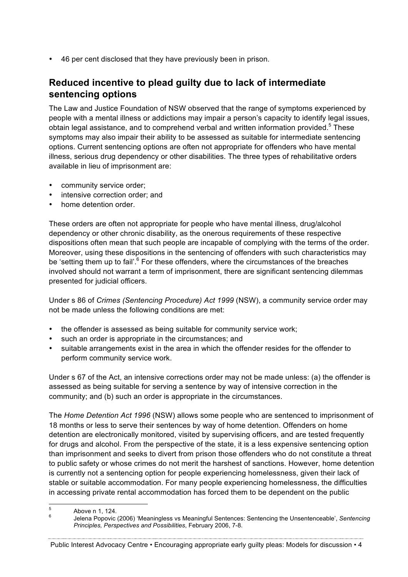• 46 per cent disclosed that they have previously been in prison.

## **Reduced incentive to plead guilty due to lack of intermediate sentencing options**

The Law and Justice Foundation of NSW observed that the range of symptoms experienced by people with a mental illness or addictions may impair a person's capacity to identify legal issues, obtain legal assistance, and to comprehend verbal and written information provided.<sup>5</sup> These symptoms may also impair their ability to be assessed as suitable for intermediate sentencing options. Current sentencing options are often not appropriate for offenders who have mental illness, serious drug dependency or other disabilities. The three types of rehabilitative orders available in lieu of imprisonment are:

- community service order;
- intensive correction order; and
- home detention order.

These orders are often not appropriate for people who have mental illness, drug/alcohol dependency or other chronic disability, as the onerous requirements of these respective dispositions often mean that such people are incapable of complying with the terms of the order. Moreover, using these dispositions in the sentencing of offenders with such characteristics may be 'setting them up to fail'.<sup>6</sup> For these offenders, where the circumstances of the breaches involved should not warrant a term of imprisonment, there are significant sentencing dilemmas presented for judicial officers.

Under s 86 of *Crimes (Sentencing Procedure) Act 1999* (NSW), a community service order may not be made unless the following conditions are met:

- the offender is assessed as being suitable for community service work;
- such an order is appropriate in the circumstances; and
- suitable arrangements exist in the area in which the offender resides for the offender to perform community service work.

Under s 67 of the Act, an intensive corrections order may not be made unless: (a) the offender is assessed as being suitable for serving a sentence by way of intensive correction in the community; and (b) such an order is appropriate in the circumstances.

The *Home Detention Act 1996* (NSW) allows some people who are sentenced to imprisonment of 18 months or less to serve their sentences by way of home detention. Offenders on home detention are electronically monitored, visited by supervising officers, and are tested frequently for drugs and alcohol. From the perspective of the state, it is a less expensive sentencing option than imprisonment and seeks to divert from prison those offenders who do not constitute a threat to public safety or whose crimes do not merit the harshest of sanctions. However, home detention is currently not a sentencing option for people experiencing homelessness, given their lack of stable or suitable accommodation. For many people experiencing homelessness, the difficulties in accessing private rental accommodation has forced them to be dependent on the public

Public Interest Advocacy Centre • Encouraging appropriate early guilty pleas: Models for discussion • 4

 <sup>5</sup>

Above n 1, 124. <sup>6</sup> Jelena Popovic (2006) 'Meaningless vs Meaningful Sentences: Sentencing the Unsentenceable', *Sentencing Principles, Perspectives and Possibilities*, February 2006, 7-8.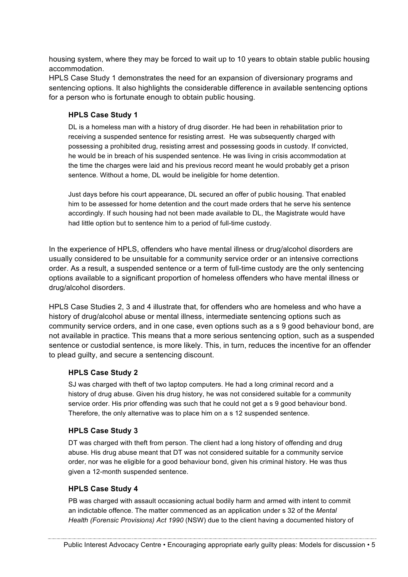housing system, where they may be forced to wait up to 10 years to obtain stable public housing accommodation.

HPLS Case Study 1 demonstrates the need for an expansion of diversionary programs and sentencing options. It also highlights the considerable difference in available sentencing options for a person who is fortunate enough to obtain public housing.

#### **HPLS Case Study 1**

DL is a homeless man with a history of drug disorder. He had been in rehabilitation prior to receiving a suspended sentence for resisting arrest. He was subsequently charged with possessing a prohibited drug, resisting arrest and possessing goods in custody. If convicted, he would be in breach of his suspended sentence. He was living in crisis accommodation at the time the charges were laid and his previous record meant he would probably get a prison sentence. Without a home, DL would be ineligible for home detention.

Just days before his court appearance, DL secured an offer of public housing. That enabled him to be assessed for home detention and the court made orders that he serve his sentence accordingly. If such housing had not been made available to DL, the Magistrate would have had little option but to sentence him to a period of full-time custody.

In the experience of HPLS, offenders who have mental illness or drug/alcohol disorders are usually considered to be unsuitable for a community service order or an intensive corrections order. As a result, a suspended sentence or a term of full-time custody are the only sentencing options available to a significant proportion of homeless offenders who have mental illness or drug/alcohol disorders.

HPLS Case Studies 2, 3 and 4 illustrate that, for offenders who are homeless and who have a history of drug/alcohol abuse or mental illness, intermediate sentencing options such as community service orders, and in one case, even options such as a s 9 good behaviour bond, are not available in practice. This means that a more serious sentencing option, such as a suspended sentence or custodial sentence, is more likely. This, in turn, reduces the incentive for an offender to plead guilty, and secure a sentencing discount.

#### **HPLS Case Study 2**

SJ was charged with theft of two laptop computers. He had a long criminal record and a history of drug abuse. Given his drug history, he was not considered suitable for a community service order. His prior offending was such that he could not get a s 9 good behaviour bond. Therefore, the only alternative was to place him on a s 12 suspended sentence.

#### **HPLS Case Study 3**

DT was charged with theft from person. The client had a long history of offending and drug abuse. His drug abuse meant that DT was not considered suitable for a community service order, nor was he eligible for a good behaviour bond, given his criminal history. He was thus given a 12-month suspended sentence.

### **HPLS Case Study 4**

PB was charged with assault occasioning actual bodily harm and armed with intent to commit an indictable offence. The matter commenced as an application under s 32 of the *Mental Health (Forensic Provisions) Act 1990* (NSW) due to the client having a documented history of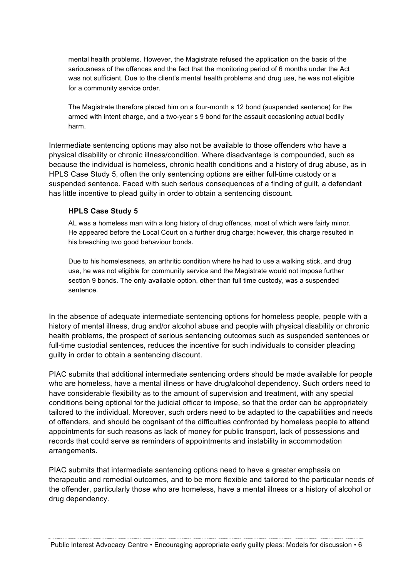mental health problems. However, the Magistrate refused the application on the basis of the seriousness of the offences and the fact that the monitoring period of 6 months under the Act was not sufficient. Due to the client's mental health problems and drug use, he was not eligible for a community service order.

The Magistrate therefore placed him on a four-month s 12 bond (suspended sentence) for the armed with intent charge, and a two-year s 9 bond for the assault occasioning actual bodily harm.

Intermediate sentencing options may also not be available to those offenders who have a physical disability or chronic illness/condition. Where disadvantage is compounded, such as because the individual is homeless, chronic health conditions and a history of drug abuse, as in HPLS Case Study 5, often the only sentencing options are either full-time custody or a suspended sentence. Faced with such serious consequences of a finding of guilt, a defendant has little incentive to plead guilty in order to obtain a sentencing discount.

### **HPLS Case Study 5**

AL was a homeless man with a long history of drug offences, most of which were fairly minor. He appeared before the Local Court on a further drug charge; however, this charge resulted in his breaching two good behaviour bonds.

Due to his homelessness, an arthritic condition where he had to use a walking stick, and drug use, he was not eligible for community service and the Magistrate would not impose further section 9 bonds. The only available option, other than full time custody, was a suspended sentence.

In the absence of adequate intermediate sentencing options for homeless people, people with a history of mental illness, drug and/or alcohol abuse and people with physical disability or chronic health problems, the prospect of serious sentencing outcomes such as suspended sentences or full-time custodial sentences, reduces the incentive for such individuals to consider pleading guilty in order to obtain a sentencing discount.

PIAC submits that additional intermediate sentencing orders should be made available for people who are homeless, have a mental illness or have drug/alcohol dependency. Such orders need to have considerable flexibility as to the amount of supervision and treatment, with any special conditions being optional for the judicial officer to impose, so that the order can be appropriately tailored to the individual. Moreover, such orders need to be adapted to the capabilities and needs of offenders, and should be cognisant of the difficulties confronted by homeless people to attend appointments for such reasons as lack of money for public transport, lack of possessions and records that could serve as reminders of appointments and instability in accommodation arrangements.

PIAC submits that intermediate sentencing options need to have a greater emphasis on therapeutic and remedial outcomes, and to be more flexible and tailored to the particular needs of the offender, particularly those who are homeless, have a mental illness or a history of alcohol or drug dependency.

Public Interest Advocacy Centre • Encouraging appropriate early guilty pleas: Models for discussion • 6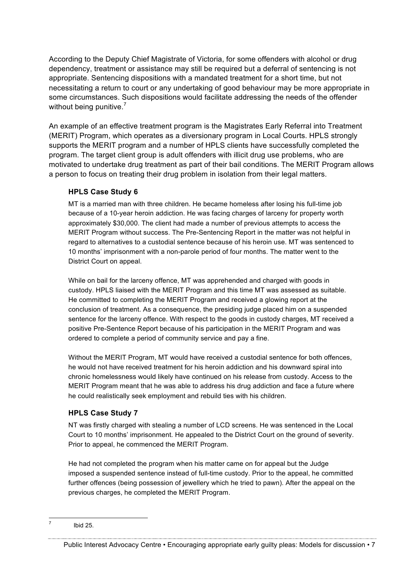According to the Deputy Chief Magistrate of Victoria, for some offenders with alcohol or drug dependency, treatment or assistance may still be required but a deferral of sentencing is not appropriate. Sentencing dispositions with a mandated treatment for a short time, but not necessitating a return to court or any undertaking of good behaviour may be more appropriate in some circumstances. Such dispositions would facilitate addressing the needs of the offender without being punitive.<sup>7</sup>

An example of an effective treatment program is the Magistrates Early Referral into Treatment (MERIT) Program, which operates as a diversionary program in Local Courts. HPLS strongly supports the MERIT program and a number of HPLS clients have successfully completed the program. The target client group is adult offenders with illicit drug use problems, who are motivated to undertake drug treatment as part of their bail conditions. The MERIT Program allows a person to focus on treating their drug problem in isolation from their legal matters.

### **HPLS Case Study 6**

MT is a married man with three children. He became homeless after losing his full-time job because of a 10-year heroin addiction. He was facing charges of larceny for property worth approximately \$30,000. The client had made a number of previous attempts to access the MERIT Program without success. The Pre-Sentencing Report in the matter was not helpful in regard to alternatives to a custodial sentence because of his heroin use. MT was sentenced to 10 months' imprisonment with a non-parole period of four months. The matter went to the District Court on appeal.

While on bail for the larceny offence, MT was apprehended and charged with goods in custody. HPLS liaised with the MERIT Program and this time MT was assessed as suitable. He committed to completing the MERIT Program and received a glowing report at the conclusion of treatment. As a consequence, the presiding judge placed him on a suspended sentence for the larceny offence. With respect to the goods in custody charges, MT received a positive Pre-Sentence Report because of his participation in the MERIT Program and was ordered to complete a period of community service and pay a fine.

Without the MERIT Program, MT would have received a custodial sentence for both offences, he would not have received treatment for his heroin addiction and his downward spiral into chronic homelessness would likely have continued on his release from custody. Access to the MERIT Program meant that he was able to address his drug addiction and face a future where he could realistically seek employment and rebuild ties with his children.

## **HPLS Case Study 7**

NT was firstly charged with stealing a number of LCD screens. He was sentenced in the Local Court to 10 months' imprisonment. He appealed to the District Court on the ground of severity. Prior to appeal, he commenced the MERIT Program.

He had not completed the program when his matter came on for appeal but the Judge imposed a suspended sentence instead of full-time custody. Prior to the appeal, he committed further offences (being possession of jewellery which he tried to pawn). After the appeal on the previous charges, he completed the MERIT Program.

Public Interest Advocacy Centre • Encouraging appropriate early guilty pleas: Models for discussion • 7

 $<sup>7</sup>$  Ibid 25.</sup>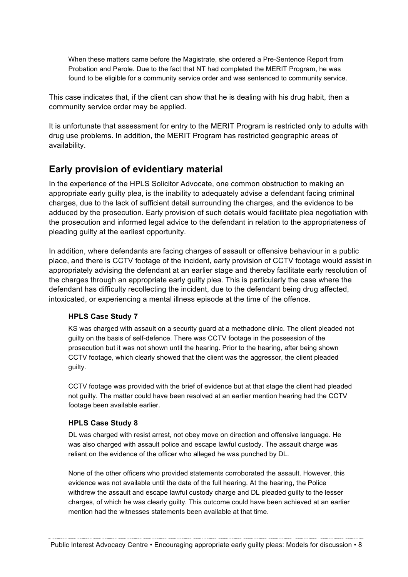When these matters came before the Magistrate, she ordered a Pre-Sentence Report from Probation and Parole. Due to the fact that NT had completed the MERIT Program, he was found to be eligible for a community service order and was sentenced to community service.

This case indicates that, if the client can show that he is dealing with his drug habit, then a community service order may be applied.

It is unfortunate that assessment for entry to the MERIT Program is restricted only to adults with drug use problems. In addition, the MERIT Program has restricted geographic areas of availability.

## **Early provision of evidentiary material**

In the experience of the HPLS Solicitor Advocate, one common obstruction to making an appropriate early guilty plea, is the inability to adequately advise a defendant facing criminal charges, due to the lack of sufficient detail surrounding the charges, and the evidence to be adduced by the prosecution. Early provision of such details would facilitate plea negotiation with the prosecution and informed legal advice to the defendant in relation to the appropriateness of pleading guilty at the earliest opportunity.

In addition, where defendants are facing charges of assault or offensive behaviour in a public place, and there is CCTV footage of the incident, early provision of CCTV footage would assist in appropriately advising the defendant at an earlier stage and thereby facilitate early resolution of the charges through an appropriate early guilty plea. This is particularly the case where the defendant has difficulty recollecting the incident, due to the defendant being drug affected, intoxicated, or experiencing a mental illness episode at the time of the offence.

### **HPLS Case Study 7**

KS was charged with assault on a security guard at a methadone clinic. The client pleaded not guilty on the basis of self-defence. There was CCTV footage in the possession of the prosecution but it was not shown until the hearing. Prior to the hearing, after being shown CCTV footage, which clearly showed that the client was the aggressor, the client pleaded guilty.

CCTV footage was provided with the brief of evidence but at that stage the client had pleaded not guilty. The matter could have been resolved at an earlier mention hearing had the CCTV footage been available earlier.

#### **HPLS Case Study 8**

DL was charged with resist arrest, not obey move on direction and offensive language. He was also charged with assault police and escape lawful custody. The assault charge was reliant on the evidence of the officer who alleged he was punched by DL.

None of the other officers who provided statements corroborated the assault. However, this evidence was not available until the date of the full hearing. At the hearing, the Police withdrew the assault and escape lawful custody charge and DL pleaded guilty to the lesser charges, of which he was clearly guilty. This outcome could have been achieved at an earlier mention had the witnesses statements been available at that time.